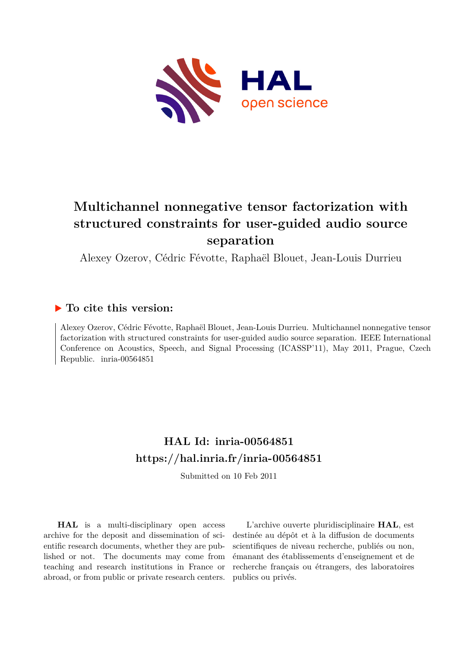

# **Multichannel nonnegative tensor factorization with structured constraints for user-guided audio source separation**

Alexey Ozerov, Cédric Févotte, Raphaël Blouet, Jean-Louis Durrieu

### **To cite this version:**

Alexey Ozerov, Cédric Févotte, Raphaël Blouet, Jean-Louis Durrieu. Multichannel nonnegative tensor factorization with structured constraints for user-guided audio source separation. IEEE International Conference on Acoustics, Speech, and Signal Processing (ICASSP'11), May 2011, Prague, Czech Republic. inria-00564851

## **HAL Id: inria-00564851 <https://hal.inria.fr/inria-00564851>**

Submitted on 10 Feb 2011

**HAL** is a multi-disciplinary open access archive for the deposit and dissemination of scientific research documents, whether they are published or not. The documents may come from teaching and research institutions in France or abroad, or from public or private research centers.

L'archive ouverte pluridisciplinaire **HAL**, est destinée au dépôt et à la diffusion de documents scientifiques de niveau recherche, publiés ou non, émanant des établissements d'enseignement et de recherche français ou étrangers, des laboratoires publics ou privés.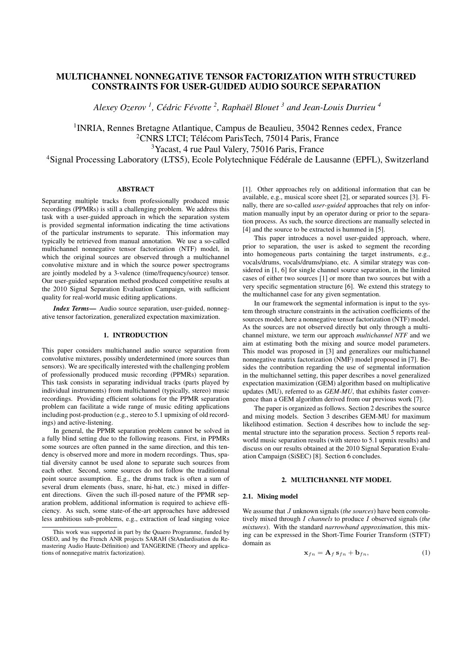### MULTICHANNEL NONNEGATIVE TENSOR FACTORIZATION WITH STRUCTURED CONSTRAINTS FOR USER-GUIDED AUDIO SOURCE SEPARATION

*Alexey Ozerov <sup>1</sup> , Cedric F ´ evotte ´ 2 , Raphael Blouet ¨ <sup>3</sup> and Jean-Louis Durrieu <sup>4</sup>*

<sup>1</sup> INRIA, Rennes Bretagne Atlantique, Campus de Beaulieu, 35042 Rennes cedex, France  $2$ CNRS LTCI; Télécom ParisTech, 75014 Paris, France <sup>3</sup>Yacast, 4 rue Paul Valery, 75016 Paris, France <sup>4</sup>Signal Processing Laboratory (LTS5), Ecole Polytechnique Fédérale de Lausanne (EPFL), Switzerland

#### ABSTRACT

Separating multiple tracks from professionally produced music recordings (PPMRs) is still a challenging problem. We address this task with a user-guided approach in which the separation system is provided segmental information indicating the time activations of the particular instruments to separate. This information may typically be retrieved from manual annotation. We use a so-called multichannel nonnegative tensor factorization (NTF) model, in which the original sources are observed through a multichannel convolutive mixture and in which the source power spectrograms are jointly modeled by a 3-valence (time/frequency/source) tensor. Our user-guided separation method produced competitive results at the 2010 Signal Separation Evaluation Campaign, with sufficient quality for real-world music editing applications.

*Index Terms*— Audio source separation, user-guided, nonnegative tensor factorization, generalized expectation maximization.

#### 1. INTRODUCTION

This paper considers multichannel audio source separation from convolutive mixtures, possibly underdetermined (more sources than sensors). We are specifically interested with the challenging problem of professionally produced music recording (PPMRs) separation. This task consists in separating individual tracks (parts played by individual instruments) from multichannel (typically, stereo) music recordings. Providing efficient solutions for the PPMR separation problem can facilitate a wide range of music editing applications including post-production (e.g., stereo to 5.1 upmixing of old recordings) and active-listening.

In general, the PPMR separation problem cannot be solved in a fully blind setting due to the following reasons. First, in PPMRs some sources are often panned in the same direction, and this tendency is observed more and more in modern recordings. Thus, spatial diversity cannot be used alone to separate such sources from each other. Second, some sources do not follow the traditionnal point source assumption. E.g., the drums track is often a sum of several drum elements (bass, snare, hi-hat, etc.) mixed in different directions. Given the such ill-posed nature of the PPMR separation problem, additional information is required to achieve efficiency. As such, some state-of-the-art approaches have addressed less ambitious sub-problems, e.g., extraction of lead singing voice

[1]. Other approaches rely on additional information that can be available, e.g., musical score sheet [2], or separated sources [3]. Finally, there are so-called *user-guided* approaches that rely on information manually input by an operator during or prior to the separation process. As such, the source directions are manually selected in [4] and the source to be extracted is hummed in [5].

This paper introduces a novel user-guided approach, where, prior to separation, the user is asked to segment the recording into homogeneous parts containing the target instruments, e.g., vocals/drums, vocals/drums/piano, etc. A similar strategy was considered in [1, 6] for single channel source separation, in the limited cases of either two sources [1] or more than two sources but with a very specific segmentation structure [6]. We extend this strategy to the multichannel case for any given segmentation.

In our framework the segmental information is input to the system through structure constraints in the activation coefficients of the sources model, here a nonnegative tensor factorization (NTF) model. As the sources are not observed directly but only through a multichannel mixture, we term our approach *multichannel NTF* and we aim at estimating both the mixing and source model parameters. This model was proposed in [3] and generalizes our multichannel nonnegative matrix factorization (NMF) model proposed in [7]. Besides the contribution regarding the use of segmental information in the multichannel setting, this paper describes a novel generalized expectation maximization (GEM) algorithm based on multiplicative updates (MU), referred to as *GEM-MU*, that exhibits faster convergence than a GEM algorithm derived from our previous work [7].

The paper is organized as follows. Section 2 describes the source and mixing models. Section 3 describes GEM-MU for maximum likelihood estimation. Section 4 describes how to include the segmental structure into the separation process. Section 5 reports realworld music separation results (with stereo to 5.1 upmix results) and discuss on our results obtained at the 2010 Signal Separation Evaluation Campaign (SiSEC) [8]. Section 6 concludes.

#### 2. MULTICHANNEL NTF MODEL

#### 2.1. Mixing model

We assume that J unknown signals (*the sources*) have been convolutively mixed through I *channels* to produce I observed signals (*the mixtures*). With the standard *narrowband approximation*, this mixing can be expressed in the Short-Time Fourier Transform (STFT) domain as

$$
\mathbf{x}_{fn} = \mathbf{A}_f \, \mathbf{s}_{fn} + \mathbf{b}_{fn},\tag{1}
$$

This work was supported in part by the Quaero Programme, funded by OSEO, and by the French ANR projects SARAH (StAndardisation du Remastering Audio Haute-Définition) and TANGERINE (Theory and applications of nonnegative matrix factorization).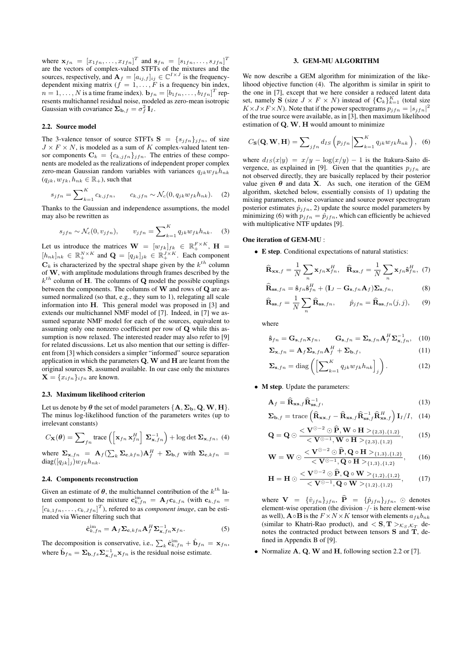where  $\mathbf{x}_{fn} = [x_{1fn}, \dots, x_{Ifn}]^T$  and  $\mathbf{s}_{fn} = [s_{1fn}, \dots, s_{Jfn}]^T$ are the vectors of complex-valued STFTs of the mixtures and the sources, respectively, and  $\mathbf{A}_f = [a_{ij,f}]_{ij} \in \mathbb{C}^{I \times J}$  is the frequencydependent mixing matrix  $(f = 1, \ldots, F$  is a frequency bin index,  $n = 1, \ldots, N$  is a time frame index).  $\mathbf{b}_{fn} = [b_{1fn}, \ldots, b_{Ifn}]^T$  represents multichannel residual noise, modeled as zero-mean isotropic Gaussian with covariance  $\Sigma_{\mathbf{b},f} = \sigma_f^2 \mathbf{I}_I$ .

#### 2.2. Source model

The 3-valence tensor of source STFTs  $S = \{s_{ifn}\}_{ifn}$ , of size  $J \times F \times N$ , is modeled as a sum of K complex-valued latent tensor components  $\mathbf{C}_k = \{c_{k,jfn}\}_{jfn}$ . The entries of these components are modeled as the realizations of independent proper complex zero-mean Gaussian random variables with variances  $q_{jk}w_{fk}h_{nk}$  $(q_{jk}, w_{fk}, h_{nk} \in \mathbb{R}_+),$  such that

$$
s_{jfn} = \sum\nolimits_{k=1}^{K} c_{k,jfn}, \qquad c_{k,jfn} \sim \mathcal{N}_c(0, q_{jk}w_{fk}h_{nk}). \tag{2}
$$

Thanks to the Gaussian and independence assumptions, the model may also be rewritten as

$$
s_{jfn} \sim \mathcal{N}_c(0, v_{jfn}), \qquad v_{jfn} = \sum_{k=1}^K q_{jk} w_{fk} h_{nk}.
$$
 (3)

Let us introduce the matrices  $\mathbf{W} = [w_{fk}]_{fk} \in \mathbb{R}_+^{F \times K}$ ,  $\mathbf{H} =$  $[h_{nk}]_{nk} \in \mathbb{R}_+^{N \times K}$  and  $\mathbf{Q} = [q_{jk}]_{jk} \in \mathbb{R}_+^{J \times K}$ . Each component  $\mathbf{C}_k$  is characterized by the spectral shape given by the  $k^{th}$  column of W, with amplitude modulations through frames described by the  $k^{th}$  column of H. The columns of Q model the possible couplings between the components. The columns of W and rows of Q are assumed normalized (so that, e.g., they sum to 1), relegating all scale information into H. This general model was proposed in [3] and extends our multichannel NMF model of [7]. Indeed, in [7] we assumed separate NMF model for each of the sources, equivalent to assuming only one nonzero coefficient per row of Q while this assumption is now relaxed. The interested reader may also refer to [9] for related discussions. Let us also mention that our setting is different from [3] which considers a simpler "informed" source separation application in which the parameters Q, W and H are learnt from the original sources S, assumed available. In our case only the mixtures  $\mathbf{X} = \{x_{ifn}\}_{ifn}$  are known.

#### 2.3. Maximum likelihood criterion

Let us denote by  $\theta$  the set of model parameters  $\{A, \Sigma_{b}, Q, W, H\}$ . The minus log-likelihood function of the parameters writes (up to irrelevant constants)

$$
C_{\mathbf{X}}(\boldsymbol{\theta}) = \sum_{fn} \text{trace}\left(\left[\mathbf{x}_{fn} \, \mathbf{x}_{fn}^H\right] \, \boldsymbol{\Sigma}_{\mathbf{x},fn}^{-1}\right) + \log \det \boldsymbol{\Sigma}_{\mathbf{x},fn},\,\,(4)
$$

where  $\Sigma_{\mathbf{x},fn} = \mathbf{A}_f(\sum_k \Sigma_{\mathbf{c},kfn})\mathbf{A}_f^H + \Sigma_{\mathbf{b},f}$  with  $\Sigma_{\mathbf{c},kfn}$  $diag([q_{jk}]_j)w_{fk}h_{nk}.$ 

#### 2.4. Components reconstruction

Given an estimate of  $\theta$ , the multichannel contribution of the  $k^{th}$  latent component to the mixture  $\mathbf{c}_{k,fn}^{\text{im}} = \mathbf{A}_f \mathbf{c}_{k,fn}$  (with  $\mathbf{c}_{k,fn} =$  $[c_{k,1f_n}, \ldots, c_{k,Jfn}]^T$ , refered to as *component image*, can be estimated via Wiener filtering such that

$$
\hat{\mathbf{c}}_{k,fn}^{\text{im}} = \mathbf{A}_f \mathbf{\Sigma}_{\mathbf{c},kfn} \mathbf{A}_f^H \mathbf{\Sigma}_{\mathbf{x},fn}^{-1} \mathbf{x}_{fn}.
$$
 (5)

The decomposition is conservative, i.e.,  $\sum_{k} \hat{\mathbf{c}}_{k,fn}^{\text{im}} + \hat{\mathbf{b}}_{fn} = \mathbf{x}_{fn}$ , where  $\hat{\mathbf{b}}_{fn} = \sum_{\mathbf{b},fs} \sum_{\mathbf{x},fn}^{-1} \mathbf{x}_{fn}$  is the residual noise estimate.

#### 3. GEM-MU ALGORITHM

We now describe a GEM algorithm for minimization of the likelihood objective function (4). The algorithm is similar in spirit to the one in [7], except that we here consider a reduced latent data set, namely **S** (size  $J \times F \times N$ ) instead of  ${C_k}_{k=1}^K$  (total size  $K \times J \times F \times N$ ). Note that if the power spectrograms  $p_{jfn} = |s_{jfn}|^2$ of the true source were available, as in [3], then maximum likelihood estimation of  $Q$ ,  $W$ ,  $H$  would amount to minimize

$$
C_{\mathbf{S}}(\mathbf{Q}, \mathbf{W}, \mathbf{H}) = \sum_{jfn} d_{IS} \left( p_{jfn} \left| \sum_{k=1}^{K} q_{jk} w_{fk} h_{nk} \right. \right), \tag{6}
$$

where  $d_{IS}(x|y) = x/y - \log(x/y) - 1$  is the Itakura-Saito divergence, as explained in [9]. Given that the quantities  $p_{ifn}$  are not observed directly, they are basically replaced by their posterior value given  $\theta$  and data **X**. As such, one iteration of the GEM algorithm, sketched below, essentially consists of 1) updating the mixing parameters, noise covariance and source power spectrogram posterior estimates  $\hat{p}_{jfn}$ , 2) update the source model parameters by minimizing (6) with  $p_{ifn} = \hat{p}_{ifn}$ , which can efficiently be achieved with multiplicative NTF updates [9].

#### One iteration of GEM-MU :

• E step. Conditional expectations of natural statistics:

$$
\widehat{\mathbf{R}}_{\mathbf{xx},f} = \frac{1}{N} \sum_{n} \mathbf{x}_{fn} \mathbf{x}_{fn}^H, \quad \widehat{\mathbf{R}}_{\mathbf{xs},f} = \frac{1}{N} \sum_{n} \mathbf{x}_{fn} \widehat{\mathbf{s}}_{fn}^H, \quad (7)
$$

$$
\widehat{\mathbf{R}}_{\mathbf{ss},fn} = \widehat{\mathbf{s}}_{fn}\widehat{\mathbf{s}}_{fn}^H + (\mathbf{I}_J - \mathbf{G}_{\mathbf{s},fn}\mathbf{A}_f)\boldsymbol{\Sigma}_{\mathbf{s},fn},
$$
\n(8)

$$
\widehat{\mathbf{R}}_{\mathbf{ss},f} = \frac{1}{N} \sum_{n} \widehat{\mathbf{R}}_{\mathbf{ss},fn}, \qquad \widehat{p}_{jfn} = \widehat{\mathbf{R}}_{\mathbf{ss},fn}(j,j), \qquad (9)
$$

where

$$
\hat{\mathbf{s}}_{fn} = \mathbf{G}_{\mathbf{s},fn} \mathbf{x}_{fn}, \qquad \mathbf{G}_{\mathbf{s},fn} = \mathbf{\Sigma}_{\mathbf{s},fn} \mathbf{A}_f^H \mathbf{\Sigma}_{\mathbf{x},fn}^{-1}, \quad (10)
$$

$$
\Sigma_{\mathbf{x},fn} = \mathbf{A}_f \Sigma_{\mathbf{s},fn} \mathbf{A}_f^H + \Sigma_{\mathbf{b},f},\tag{11}
$$

$$
\Sigma_{\mathbf{s},fn} = \text{diag}\left(\left[\sum_{k=1}^{K} q_{jk} w_{fk} h_{nk}\right]_j\right). \tag{12}
$$

• M step. Update the parameters:

$$
\mathbf{A}_f = \widehat{\mathbf{R}}_{\mathbf{x}\mathbf{s},f} \widehat{\mathbf{R}}_{\mathbf{s}\mathbf{s},f}^{-1},\tag{13}
$$

$$
\Sigma_{\mathbf{b},f} = \text{trace}\left(\widehat{\mathbf{R}}_{\mathbf{x}\mathbf{x},f} - \widehat{\mathbf{R}}_{\mathbf{x}\mathbf{s},f}\widehat{\mathbf{R}}_{\mathbf{s}\mathbf{s},f}^{-1}\widehat{\mathbf{R}}_{\mathbf{x}\mathbf{s},f}^{H}\right)\mathbf{I}_{I}/I, \quad (14)
$$

$$
\mathbf{Q} = \mathbf{Q} \odot \frac{<\mathbf{V}^{\odot -2} \odot \mathbf{\hat{P}}, \mathbf{W} \circ \mathbf{H} >_{\{2,3\},\{1,2\}}}{<\mathbf{V}^{\odot -1}, \mathbf{W} \circ \mathbf{H} >_{\{2,3\},\{1,2\}}},\qquad(15)
$$

$$
\mathbf{W} = \mathbf{W} \odot \frac{<\mathbf{V}^{\odot -2} \odot \widehat{\mathbf{P}}, \mathbf{Q} \circ \mathbf{H} >_{\{1,3\},\{1,2\}}}{<\mathbf{V}^{\odot -1}, \mathbf{Q} \circ \mathbf{H} >_{\{1,3\},\{1,2\}}},\qquad(16)
$$

$$
\mathbf{H} = \mathbf{H} \odot \frac{<\mathbf{V}^{\odot -2} \odot \mathbf{\hat{P}}, \mathbf{Q} \circ \mathbf{W} >_{\{1,2\},\{1,2\}}}{<\mathbf{V}^{\odot -1}, \mathbf{Q} \circ \mathbf{W} >_{\{1,2\},\{1,2\}}},\qquad(17)
$$

where  $\mathbf{V} = {\hat{v}_{jfn}}_{jfn}$ ,  $\hat{\mathbf{P}} = {\hat{p}_{jfn}}_{jfn}$ ,  $\odot$  denotes element-wise operation (the division  $\cdot$ / $\cdot$  is here element-wise as well),  $\mathbf{A} \circ \mathbf{B}$  is the  $F \times N \times K$  tensor with elements  $a_{fk}b_{nk}$ (similar to Khatri-Rao product), and  $\langle S, T \rangle_{K_S, \mathcal{K}_T}$  denotes the contracted product between tensors S and T, defined in Appendix B of [9].

• Normalize  $A$ ,  $Q$ ,  $W$  and  $H$ , following section 2.2 or [7].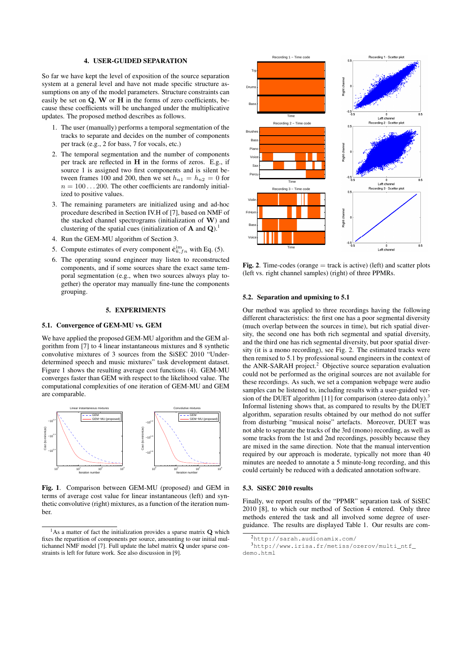#### 4. USER-GUIDED SEPARATION

So far we have kept the level of exposition of the source separation system at a general level and have not made specific structure assumptions on any of the model parameters. Structure constraints can easily be set on Q, W or H in the forms of zero coefficients, because these coefficients will be unchanged under the multiplicative updates. The proposed method describes as follows.

- 1. The user (manually) performs a temporal segmentation of the tracks to separate and decides on the number of components per track (e.g., 2 for bass, 7 for vocals, etc.)
- 2. The temporal segmentation and the number of components per track are reflected in H in the forms of zeros. E.g., if source 1 is assigned two first components and is silent between frames 100 and 200, then we set  $h_{n1} = h_{n2} = 0$  for  $n = 100...200$ . The other coefficients are randomly initialized to positive values.
- 3. The remaining parameters are initialized using and ad-hoc procedure described in Section IV.H of [7], based on NMF of the stacked channel spectrograms (initialization of W) and clustering of the spatial cues (initialization of  $\bf{A}$  and  $\bf{Q}$ ).<sup>1</sup>
- 4. Run the GEM-MU algorithm of Section 3.
- 5. Compute estimates of every component  $\hat{\mathbf{c}}_{k,f n}^{\text{im}}$  with Eq. (5).
- 6. The operating sound engineer may listen to reconstructed components, and if some sources share the exact same temporal segmentation (e.g., when two sources always play together) the operator may manually fine-tune the components grouping.

#### 5. EXPERIMENTS

#### 5.1. Convergence of GEM-MU vs. GEM

We have applied the proposed GEM-MU algorithm and the GEM algorithm from [7] to 4 linear instantaneous mixtures and 8 synthetic convolutive mixtures of 3 sources from the SiSEC 2010 "Underdetermined speech and music mixtures" task development dataset. Figure 1 shows the resulting average cost functions (4). GEM-MU converges faster than GEM with respect to the likelihood value. The computational complexities of one iteration of GEM-MU and GEM are comparable.



Fig. 1. Comparison between GEM-MU (proposed) and GEM in terms of average cost value for linear instantaneous (left) and synthetic convolutive (right) mixtures, as a function of the iteration number.



**Fig. 2.** Time-codes (orange  $=$  track is active) (left) and scatter plots (left vs. right channel samples) (right) of three PPMRs.

#### 5.2. Separation and upmixing to 5.1

Our method was applied to three recordings having the following different characteristics: the first one has a poor segmental diversity (much overlap between the sources in time), but rich spatial diversity, the second one has both rich segmental and spatial diversity, and the third one has rich segmental diversity, but poor spatial diversity (it is a mono recording), see Fig. 2. The estimated tracks were then remixed to 5.1 by professional sound engineers in the context of the ANR-SARAH project.<sup>2</sup> Objective source separation evaluation could not be performed as the original sources are not available for these recordings. As such, we set a companion webpage were audio samples can be listened to, including results with a user-guided version of the DUET algorithm [11] for comparison (stereo data only).<sup>3</sup> Informal listening shows that, as compared to results by the DUET algorithm, separation results obtained by our method do not suffer from disturbing "musical noise" artefacts. Moreover, DUET was not able to separate the tracks of the 3rd (mono) recording, as well as some tracks from the 1st and 2nd recordings, possibly because they are mixed in the same direction. Note that the manual intervention required by our approach is moderate, typically not more than 40 minutes are needed to annotate a 5 minute-long recording, and this could certainly be reduced with a dedicated annotation software.

#### 5.3. SiSEC 2010 results

Finally, we report results of the "PPMR" separation task of SiSEC 2010 [8], to which our method of Section 4 entered. Only three methods entered the task and all involved some degree of userguidance. The results are displayed Table 1. Our results are com-

 $1$ As a matter of fact the initialization provides a sparse matrix  $Q$  which fixes the repartition of components per source, amounting to our initial multichannel NMF model [7]. Full update the label matrix  $\tilde{Q}$  under sparse constraints is left for future work. See also discussion in [9].

<sup>2</sup>http://sarah.audionamix.com/

<sup>3</sup>http://www.irisa.fr/metiss/ozerov/multi\_ntf\_ demo.html